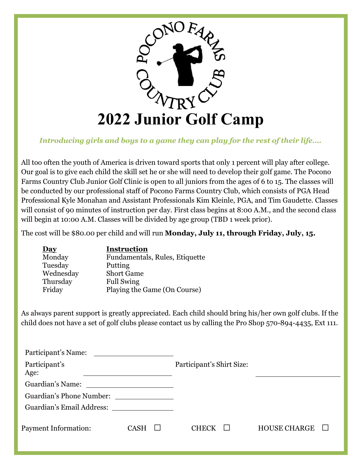

## *Introducing girls and boys to a game they can play for the rest of their life….*

All too often the youth of America is driven toward sports that only 1 percent will play after college. Our goal is to give each child the skill set he or she will need to develop their golf game. The Pocono Farms Country Club Junior Golf Clinic is open to all juniors from the ages of 6 to 15. The classes will be conducted by our professional staff of Pocono Farms Country Club, which consists of PGA Head Professional Kyle Monahan and Assistant Professionals Kim Kleinle, PGA, and Tim Gaudette. Classes will consist of 90 minutes of instruction per day. First class begins at 8:00 A.M., and the second class will begin at 10:00 A.M. Classes will be divided by age group (TBD 1 week prior).

The cost will be \$80.00 per child and will run **Monday, July 11, through Friday, July, 15.**

| <u>Day</u> | <b>Instruction</b>             |
|------------|--------------------------------|
| Monday     | Fundamentals, Rules, Etiquette |
| Tuesday    | Putting                        |
| Wednesday  | <b>Short Game</b>              |
| Thursday   | <b>Full Swing</b>              |
| Friday     | Playing the Game (On Course)   |

As always parent support is greatly appreciated. Each child should bring his/her own golf clubs. If the child does not have a set of golf clubs please contact us by calling the Pro Shop 570-894-4435, Ext 111.

| Participant's Name:       |                                                    |                           |                     |  |
|---------------------------|----------------------------------------------------|---------------------------|---------------------|--|
| Participant's<br>Age:     |                                                    | Participant's Shirt Size: |                     |  |
| Guardian's Name:          | <u> 1986 - John Stein, Amerikaansk politiker (</u> |                           |                     |  |
| Guardian's Phone Number:  |                                                    |                           |                     |  |
| Guardian's Email Address: |                                                    |                           |                     |  |
| Payment Information:      | <b>CASH</b><br>ப                                   | <b>CHECK</b><br>$\perp$   | <b>HOUSE CHARGE</b> |  |